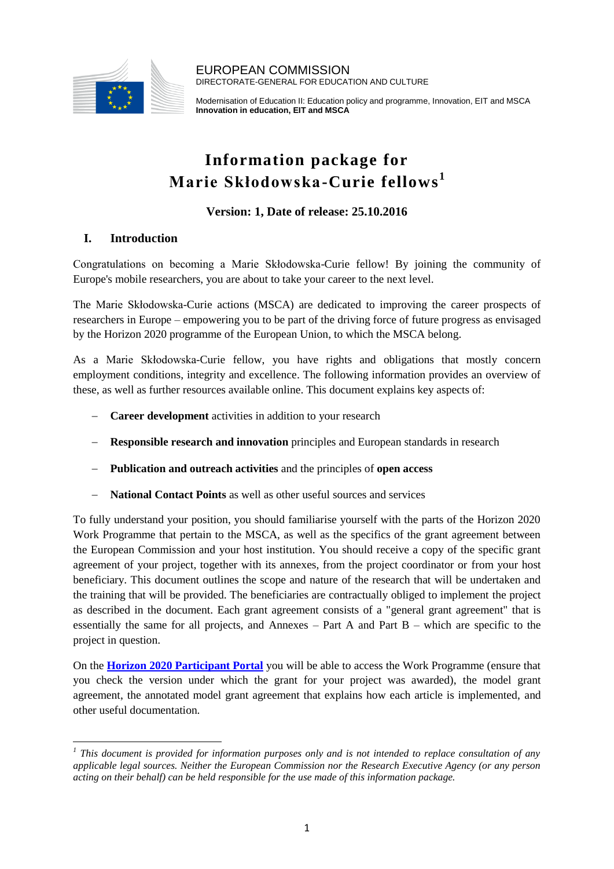

EUROPEAN COMMISSION DIRECTORATE-GENERAL FOR EDUCATION AND CULTURE

Modernisation of Education II: Education policy and programme, Innovation, EIT and MSCA **Innovation in education, EIT and MSCA**

# **Information package for Marie Skłodowska-Curie fellows 1**

# **Version: 1, Date of release: 25.10.2016**

## **I. Introduction**

Congratulations on becoming a Marie Skłodowska-Curie fellow! By joining the community of Europe's mobile researchers, you are about to take your career to the next level.

The Marie Skłodowska-Curie actions (MSCA) are dedicated to improving the career prospects of researchers in Europe – empowering you to be part of the driving force of future progress as envisaged by the Horizon 2020 programme of the European Union, to which the MSCA belong.

As a Marie Skłodowska-Curie fellow, you have rights and obligations that mostly concern employment conditions, integrity and excellence. The following information provides an overview of these, as well as further resources available online. This document explains key aspects of:

- **Career development** activities in addition to your research
- **Responsible research and innovation** principles and European standards in research
- **Publication and outreach activities** and the principles of **open access**
- **National Contact Points** as well as other useful sources and services

To fully understand your position, you should familiarise yourself with the parts of the Horizon 2020 Work Programme that pertain to the MSCA, as well as the specifics of the grant agreement between the European Commission and your host institution. You should receive a copy of the specific grant agreement of your project, together with its annexes, from the project coordinator or from your host beneficiary. This document outlines the scope and nature of the research that will be undertaken and the training that will be provided. The beneficiaries are contractually obliged to implement the project as described in the document. Each grant agreement consists of a "general grant agreement" that is essentially the same for all projects, and Annexes – Part A and Part B – which are specific to the project in question.

On the **[Horizon 2020 Participant Portal](http://ec.europa.eu/research/participants/portal/desktop/en/home.html)** you will be able to access the Work Programme (ensure that you check the version under which the grant for your project was awarded), the model grant agreement, the annotated model grant agreement that explains how each article is implemented, and other useful documentation.

 $\overline{\phantom{a}}$ <sup>1</sup> This document is provided for information purposes only and is not intended to replace consultation of any *applicable legal sources. Neither the European Commission nor the Research Executive Agency (or any person acting on their behalf) can be held responsible for the use made of this information package.*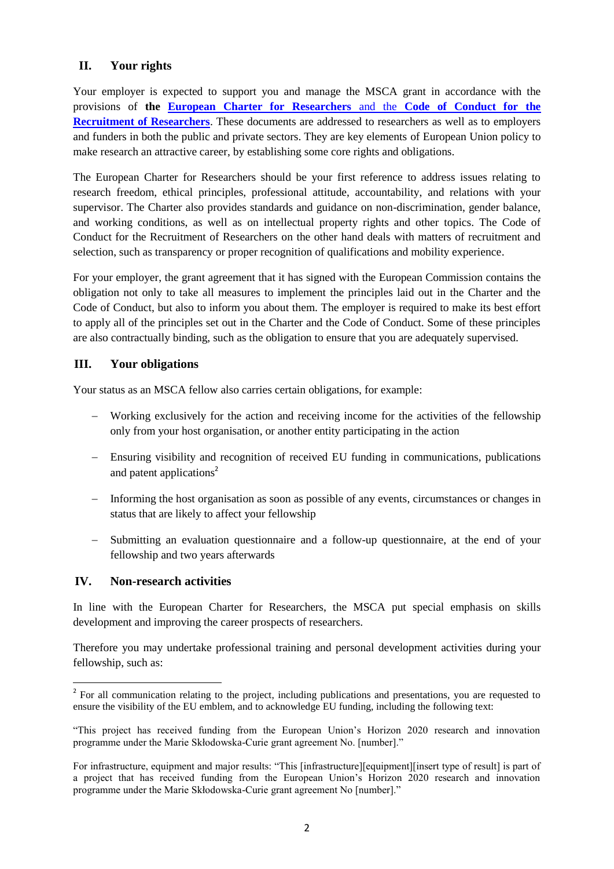## **II. Your rights**

Your employer is expected to support you and manage the MSCA grant in accordance with the provisions of **the [European Charter for Researchers](http://ec.europa.eu/euraxess/index.cfm/rights/europeanCharter)** and the **Code of Conduct for the [Recruitment of Researchers](http://ec.europa.eu/euraxess/index.cfm/rights/europeanCharter)**. These documents are addressed to researchers as well as to employers and funders in both the public and private sectors. They are key elements of European Union policy to make research an attractive career, by establishing some core rights and obligations.

The European Charter for Researchers should be your first reference to address issues relating to research freedom, ethical principles, professional attitude, accountability, and relations with your supervisor. The Charter also provides standards and guidance on non-discrimination, gender balance, and working conditions, as well as on intellectual property rights and other topics. The Code of Conduct for the Recruitment of Researchers on the other hand deals with matters of recruitment and selection, such as transparency or proper recognition of qualifications and mobility experience.

For your employer, the grant agreement that it has signed with the European Commission contains the obligation not only to take all measures to implement the principles laid out in the Charter and the Code of Conduct, but also to inform you about them. The employer is required to make its best effort to apply all of the principles set out in the Charter and the Code of Conduct. Some of these principles are also contractually binding, such as the obligation to ensure that you are adequately supervised.

#### **III. Your obligations**

Your status as an MSCA fellow also carries certain obligations, for example:

- Working exclusively for the action and receiving income for the activities of the fellowship only from your host organisation, or another entity participating in the action
- Ensuring visibility and recognition of received EU funding in communications, publications and patent applications<sup>2</sup>
- Informing the host organisation as soon as possible of any events, circumstances or changes in status that are likely to affect your fellowship
- Submitting an evaluation questionnaire and a follow-up questionnaire, at the end of your fellowship and two years afterwards

#### **IV. Non-research activities**

 $\overline{a}$ 

In line with the European Charter for Researchers, the MSCA put special emphasis on skills development and improving the career prospects of researchers.

Therefore you may undertake professional training and personal development activities during your fellowship, such as:

<sup>&</sup>lt;sup>2</sup> For all communication relating to the project, including publications and presentations, you are requested to ensure the visibility of the EU emblem, and to acknowledge EU funding, including the following text:

<sup>&</sup>quot;This project has received funding from the European Union's Horizon 2020 research and innovation programme under the Marie Skłodowska-Curie grant agreement No. [number]."

For infrastructure, equipment and major results: "This [infrastructure][equipment][insert type of result] is part of a project that has received funding from the European Union's Horizon 2020 research and innovation programme under the Marie Skłodowska-Curie grant agreement No [number]."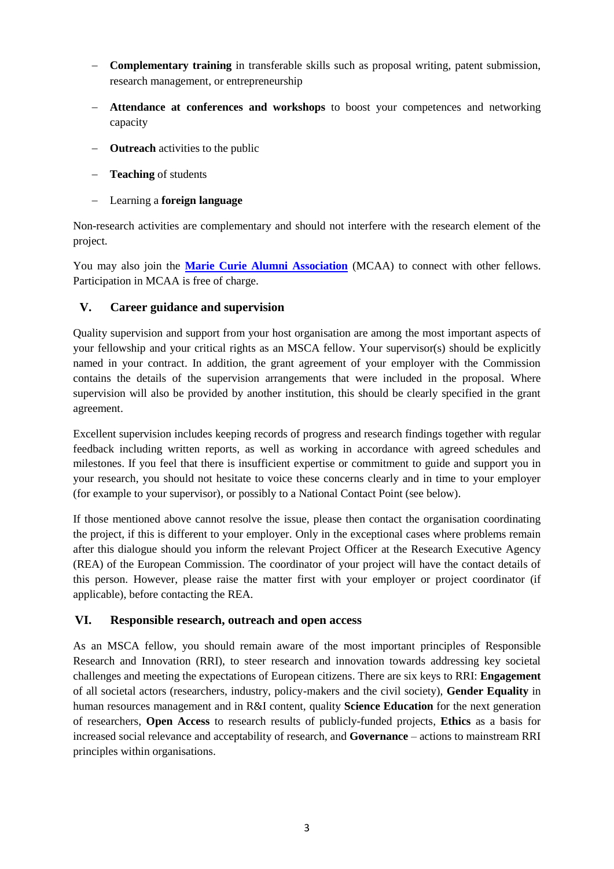- **Complementary training** in transferable skills such as proposal writing, patent submission, research management, or entrepreneurship
- **Attendance at conferences and workshops** to boost your competences and networking capacity
- **Outreach** activities to the public
- **Teaching** of students
- Learning a **foreign language**

Non-research activities are complementary and should not interfere with the research element of the project.

You may also join the **[Marie Curie Alumni Association](https://www.mariecuriealumni.eu/)** (MCAA) to connect with other fellows. Participation in MCAA is free of charge.

### **V. Career guidance and supervision**

Quality supervision and support from your host organisation are among the most important aspects of your fellowship and your critical rights as an MSCA fellow. Your supervisor(s) should be explicitly named in your contract. In addition, the grant agreement of your employer with the Commission contains the details of the supervision arrangements that were included in the proposal. Where supervision will also be provided by another institution, this should be clearly specified in the grant agreement.

Excellent supervision includes keeping records of progress and research findings together with regular feedback including written reports, as well as working in accordance with agreed schedules and milestones. If you feel that there is insufficient expertise or commitment to guide and support you in your research, you should not hesitate to voice these concerns clearly and in time to your employer (for example to your supervisor), or possibly to a National Contact Point (see below).

If those mentioned above cannot resolve the issue, please then contact the organisation coordinating the project, if this is different to your employer. Only in the exceptional cases where problems remain after this dialogue should you inform the relevant Project Officer at the Research Executive Agency (REA) of the European Commission. The coordinator of your project will have the contact details of this person. However, please raise the matter first with your employer or project coordinator (if applicable), before contacting the REA.

#### **VI. Responsible research, outreach and open access**

As an MSCA fellow, you should remain aware of the most important principles of Responsible Research and Innovation (RRI), to steer research and innovation towards addressing key societal challenges and meeting the expectations of European citizens. There are six keys to RRI: **Engagement** of all societal actors (researchers, industry, policy-makers and the civil society), **Gender Equality** in human resources management and in R&I content, quality **Science Education** for the next generation of researchers, **Open Access** to research results of publicly-funded projects, **Ethics** as a basis for increased social relevance and acceptability of research, and **Governance** – actions to mainstream RRI principles within organisations.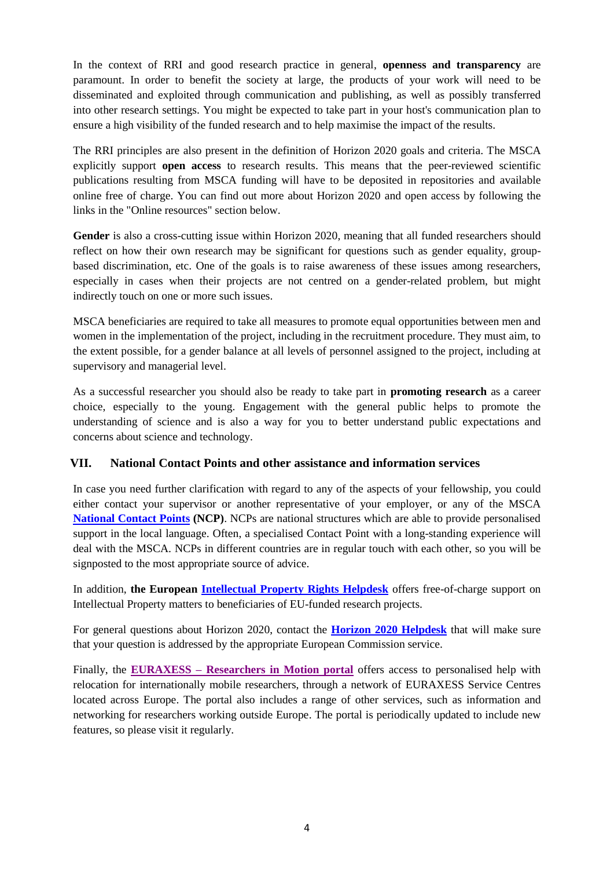In the context of RRI and good research practice in general, **openness and transparency** are paramount. In order to benefit the society at large, the products of your work will need to be disseminated and exploited through communication and publishing, as well as possibly transferred into other research settings. You might be expected to take part in your host's communication plan to ensure a high visibility of the funded research and to help maximise the impact of the results.

The RRI principles are also present in the definition of Horizon 2020 goals and criteria. The MSCA explicitly support **open access** to research results. This means that the peer-reviewed scientific publications resulting from MSCA funding will have to be deposited in repositories and available online free of charge. You can find out more about Horizon 2020 and open access by following the links in the "Online resources" section below.

Gender is also a cross-cutting issue within Horizon 2020, meaning that all funded researchers should reflect on how their own research may be significant for questions such as gender equality, groupbased discrimination, etc. One of the goals is to raise awareness of these issues among researchers, especially in cases when their projects are not centred on a gender-related problem, but might indirectly touch on one or more such issues.

MSCA beneficiaries are required to take all measures to promote equal opportunities between men and women in the implementation of the project, including in the recruitment procedure. They must aim, to the extent possible, for a gender balance at all levels of personnel assigned to the project, including at supervisory and managerial level.

As a successful researcher you should also be ready to take part in **promoting research** as a career choice, especially to the young. Engagement with the general public helps to promote the understanding of science and is also a way for you to better understand public expectations and concerns about science and technology.

## **VII. National Contact Points and other assistance and information services**

In case you need further clarification with regard to any of the aspects of your fellowship, you could either contact your supervisor or another representative of your employer, or any of the MSCA **[National Contact Points](http://ec.europa.eu/research/participants/portal/desktop/en/support/national_contact_points.html) (NCP)**. NCPs are national structures which are able to provide personalised support in the local language. Often, a specialised Contact Point with a long-standing experience will deal with the MSCA. NCPs in different countries are in regular touch with each other, so you will be signposted to the most appropriate source of advice.

In addition, **the European [Intellectual Property Rights Helpdesk](https://www.iprhelpdesk.eu/)** offers free-of-charge support on Intellectual Property matters to beneficiaries of EU-funded research projects.

For general questions about Horizon 2020, contact the **[Horizon 2020 Helpdesk](http://ec.europa.eu/research/index.cfm?pg=enquiries)** that will make sure that your question is addressed by the appropriate European Commission service.

Finally, the **EURAXESS – [Researchers in Motion portal](http://ec.europa.eu/euraxess/)** offers access to personalised help with relocation for internationally mobile researchers, through a network of EURAXESS Service Centres located across Europe. The portal also includes a range of other services, such as information and networking for researchers working outside Europe. The portal is periodically updated to include new features, so please visit it regularly.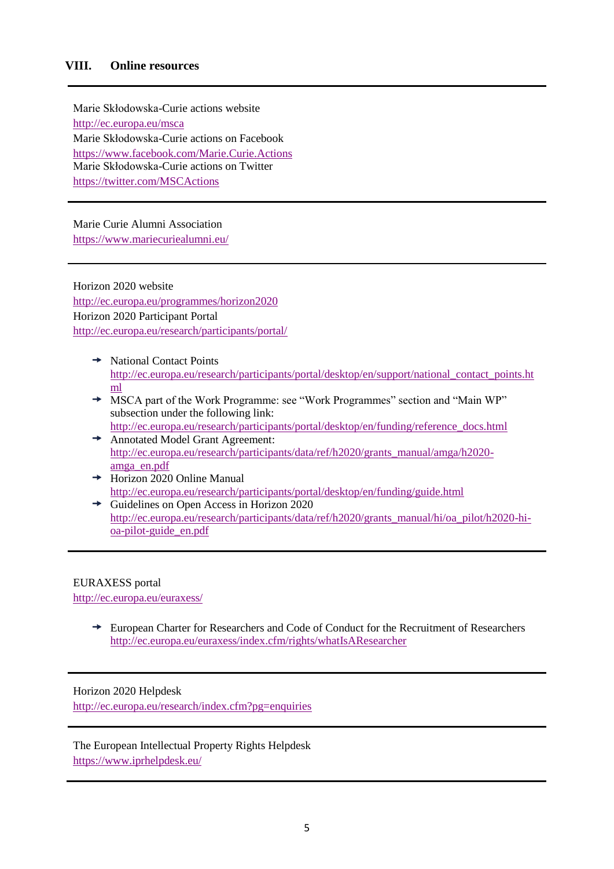#### **VIII. Online resources**

Marie Skłodowska-Curie actions website <http://ec.europa.eu/msca> Marie Skłodowska-Curie actions on Facebook <https://www.facebook.com/Marie.Curie.Actions> Marie Skłodowska-Curie actions on Twitter <https://twitter.com/MSCActions>

Marie Curie Alumni Association <https://www.mariecuriealumni.eu/>

Horizon 2020 website <http://ec.europa.eu/programmes/horizon2020> Horizon 2020 Participant Portal <http://ec.europa.eu/research/participants/portal/>

- $\rightarrow$  National Contact Points [http://ec.europa.eu/research/participants/portal/desktop/en/support/national\\_contact\\_points.ht](http://ec.europa.eu/research/participants/portal/desktop/en/support/national_contact_points.html) [ml](http://ec.europa.eu/research/participants/portal/desktop/en/support/national_contact_points.html)
- MSCA part of the Work Programme: see "Work Programmes" section and "Main WP" subsection under the following link:
- [http://ec.europa.eu/research/participants/portal/desktop/en/funding/reference\\_docs.html](http://ec.europa.eu/research/participants/portal/desktop/en/funding/reference_docs.html)  Annotated Model Grant Agreement: [http://ec.europa.eu/research/participants/data/ref/h2020/grants\\_manual/amga/h2020](http://ec.europa.eu/research/participants/data/ref/h2020/grants_manual/amga/h2020-amga_en.pdf) [amga\\_en.pdf](http://ec.europa.eu/research/participants/data/ref/h2020/grants_manual/amga/h2020-amga_en.pdf)
- $\rightarrow \text{Horizon } 2020$  Online Manual <http://ec.europa.eu/research/participants/portal/desktop/en/funding/guide.html>
- $\rightarrow$  Guidelines on Open Access in Horizon 2020 [http://ec.europa.eu/research/participants/data/ref/h2020/grants\\_manual/hi/oa\\_pilot/h2020-hi](http://ec.europa.eu/research/participants/data/ref/h2020/grants_manual/hi/oa_pilot/h2020-hi-oa-pilot-guide_en.pdf)[oa-pilot-guide\\_en.pdf](http://ec.europa.eu/research/participants/data/ref/h2020/grants_manual/hi/oa_pilot/h2020-hi-oa-pilot-guide_en.pdf)

#### EURAXESS portal

<http://ec.europa.eu/euraxess/>

European Charter for Researchers and Code of Conduct for the Recruitment of Researchers <http://ec.europa.eu/euraxess/index.cfm/rights/whatIsAResearcher>

#### Horizon 2020 Helpdesk

<http://ec.europa.eu/research/index.cfm?pg=enquiries>

The European Intellectual Property Rights Helpdesk <https://www.iprhelpdesk.eu/>